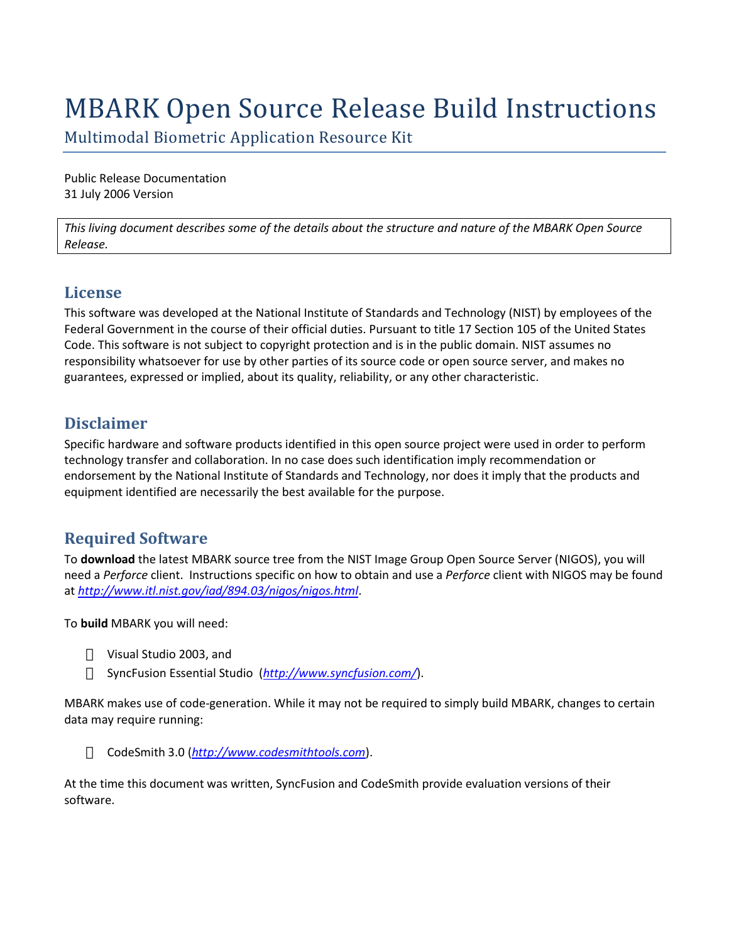# MBARK Open Source Release Build Instructions

Multimodal Biometric Application Resource Kit

Public Release Documentation 31 July 2006 Version

*This living document describes some of the details about the structure and nature of the MBARK Open Source Release.*

### **License**

This software was developed at the National Institute of Standards and Technology (NIST) by employees of the Federal Government in the course of their official duties. Pursuant to title 17 Section 105 of the United States Code. This software is not subject to copyright protection and is in the public domain. NIST assumes no responsibility whatsoever for use by other parties of its source code or open source server, and makes no guarantees, expressed or implied, about its quality, reliability, or any other characteristic.

# **Disclaimer**

Specific hardware and software products identified in this open source project were used in order to perform technology transfer and collaboration. In no case does such identification imply recommendation or endorsement by the National Institute of Standards and Technology, nor does it imply that the products and equipment identified are necessarily the best available for the purpose.

# **Required Software**

To **download** the latest MBARK source tree from the NIST Image Group Open Source Server (NIGOS), you will need a *Perforce* client. Instructions specific on how to obtain and use a *Perforce* client with NIGOS may be found at *<http://www.itl.nist.gov/iad/894.03/nigos/nigos.html>*.

To **build** MBARK you will need:

Visual Studio 2003, and SyncFusion Essential Studio (*<http://www.syncfusion.com/>*).

MBARK makes use of code-generation. While it may not be required to simply build MBARK, changes to certain data may require running:

CodeSmith 3.0 (*[http://www.codesmithtools.com](http://www.codesmithtools.com/)*).

At the time this document was written, SyncFusion and CodeSmith provide evaluation versions of their software.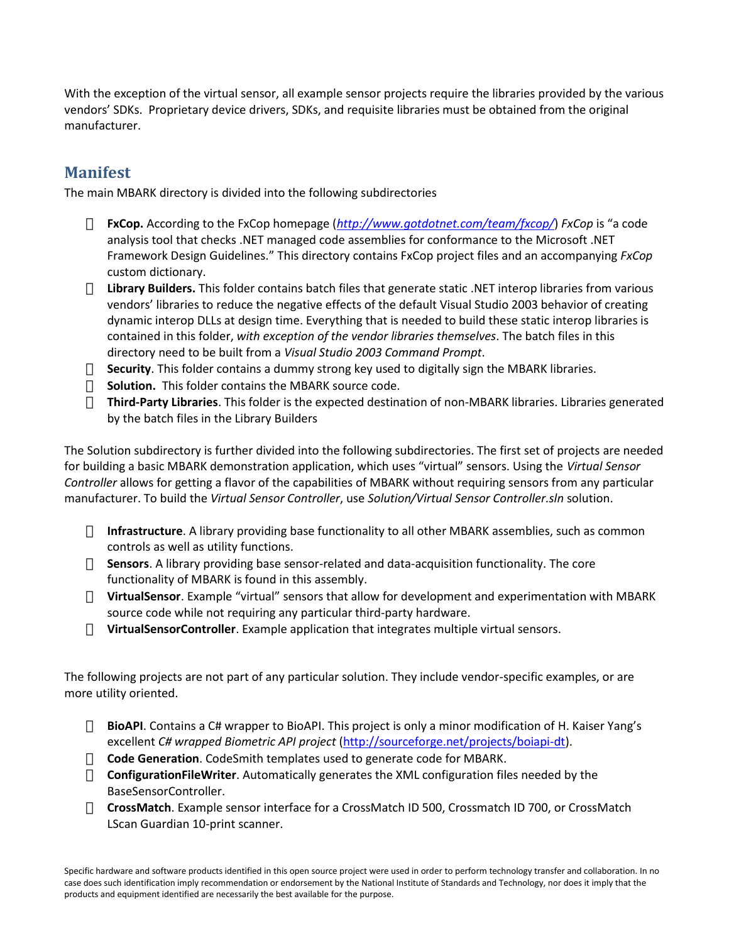With the exception of the virtual sensor, all example sensor projects require the libraries provided by the various vendors' SDKs. Proprietary device drivers, SDKs, and requisite libraries must be obtained from the original manufacturer.

### **Manifest**

The main MBARK directory is divided into the following subdirectories

**FxCop.** According to the FxCop homepage (*<http://www.gotdotnet.com/team/fxcop/>*) *FxCop* is "a code analysis tool that checks .NET managed code assemblies for conformance to the Microsoft .NET Framework Design Guidelines." This directory contains FxCop project files and an accompanying *FxCop* custom dictionary.

**Library Builders.** This folder contains batch files that generate static .NET interop libraries from various vendors' libraries to reduce the negative effects of the default Visual Studio 2003 behavior of creating dynamic interop DLLs at design time. Everything that is needed to build these static interop libraries is contained in this folder, *with exception of the vendor libraries themselves*. The batch files in this directory need to be built from a *Visual Studio 2003 Command Prompt*.

**Security**. This folder contains a dummy strong key used to digitally sign the MBARK libraries. **Solution.** This folder contains the MBARK source code.

**Third-Party Libraries**. This folder is the expected destination of non-MBARK libraries. Libraries generated by the batch files in the Library Builders

The Solution subdirectory is further divided into the following subdirectories. The first set of projects are needed for building a basic MBARK demonstration application, which uses "virtual" sensors. Using the Virtual Sensor *Controller* allows for getting a flavor of the capabilities of MBARK without requiring sensors from any particular manufacturer. To build the *Virtual Sensor Controller*, use *Solution/Virtual Sensor Controller.sln* solution.

**Infrastructure**. A library providing base functionality to all other MBARK assemblies, such as common controls as well as utility functions.

**Sensors**. A library providing base sensor-related and data-acquisition functionality. The core functionality of MBARK is found in this assembly.

**VirtualSensor**. Example "virtual" sensors that allow for development and experimentation with MBARK source code while not requiring any particular third-party hardware.

**VirtualSensorController**. Example application that integrates multiple virtual sensors.

The following projects are not part of any particular solution. They include vendor-specific examples, or are more utility oriented.

BioAPI. Contains a C# wrapper to BioAPI. This project is only a minor modification of H. Kaiser Yang's excellent *C# wrapped Biometric API project* [\(http://sourceforge.net/projects/boiapi-dt\)](http://sourceforge.net/projects/boiapi-dt).

**Code Generation**. CodeSmith templates used to generate code for MBARK.

**ConfigurationFileWriter**. Automatically generates the XML configuration files needed by the BaseSensorController.

**CrossMatch**. Example sensor interface for a CrossMatch ID 500, Crossmatch ID 700, or CrossMatch LScan Guardian 10-print scanner.